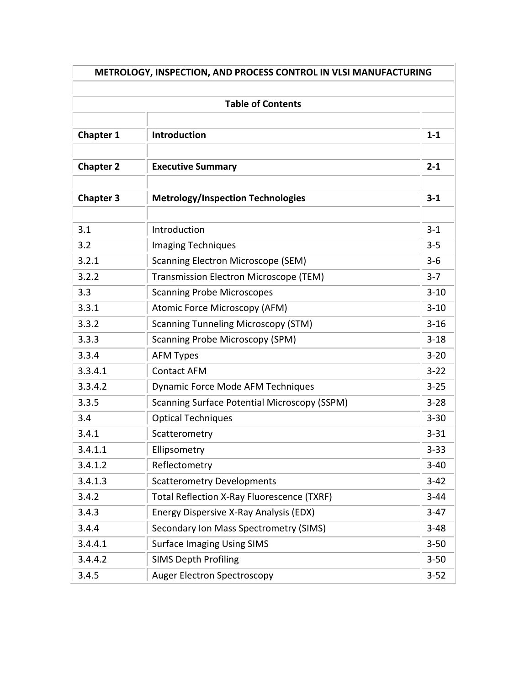|                  | <b>Table of Contents</b>                            |          |
|------------------|-----------------------------------------------------|----------|
| <b>Chapter 1</b> | Introduction                                        | $1-1$    |
| <b>Chapter 2</b> | <b>Executive Summary</b>                            | $2 - 1$  |
| <b>Chapter 3</b> | <b>Metrology/Inspection Technologies</b>            | $3 - 1$  |
| 3.1              | Introduction                                        | $3 - 1$  |
| 3.2              | <b>Imaging Techniques</b>                           | $3 - 5$  |
| 3.2.1            | <b>Scanning Electron Microscope (SEM)</b>           | $3 - 6$  |
| 3.2.2            | Transmission Electron Microscope (TEM)              | $3 - 7$  |
| 3.3              | <b>Scanning Probe Microscopes</b>                   | $3 - 10$ |
| 3.3.1            | Atomic Force Microscopy (AFM)                       | $3 - 10$ |
| 3.3.2            | <b>Scanning Tunneling Microscopy (STM)</b>          | $3 - 16$ |
| 3.3.3            | <b>Scanning Probe Microscopy (SPM)</b>              | $3 - 18$ |
| 3.3.4            | <b>AFM Types</b>                                    | $3 - 20$ |
| 3.3.4.1          | <b>Contact AFM</b>                                  | $3 - 22$ |
| 3.3.4.2          | Dynamic Force Mode AFM Techniques                   | $3 - 25$ |
| 3.3.5            | <b>Scanning Surface Potential Microscopy (SSPM)</b> | $3 - 28$ |
| 3.4              | <b>Optical Techniques</b>                           | $3 - 30$ |
| 3.4.1            | Scatterometry                                       | $3 - 31$ |
| 3.4.1.1          | Ellipsometry                                        | $3 - 33$ |
| 3.4.1.2          | Reflectometry                                       | $3 - 40$ |
| 3.4.1.3          | <b>Scatterometry Developments</b>                   | $3 - 42$ |
| 3.4.2            | Total Reflection X-Ray Fluorescence (TXRF)          | $3 - 44$ |
| 3.4.3            | Energy Dispersive X-Ray Analysis (EDX)              | $3-47$   |
| 3.4.4            | Secondary Ion Mass Spectrometry (SIMS)              | $3 - 48$ |
| 3.4.4.1          | <b>Surface Imaging Using SIMS</b>                   | $3 - 50$ |
| 3.4.4.2          | <b>SIMS Depth Profiling</b>                         | $3 - 50$ |
| 3.4.5            | <b>Auger Electron Spectroscopy</b>                  | $3 - 52$ |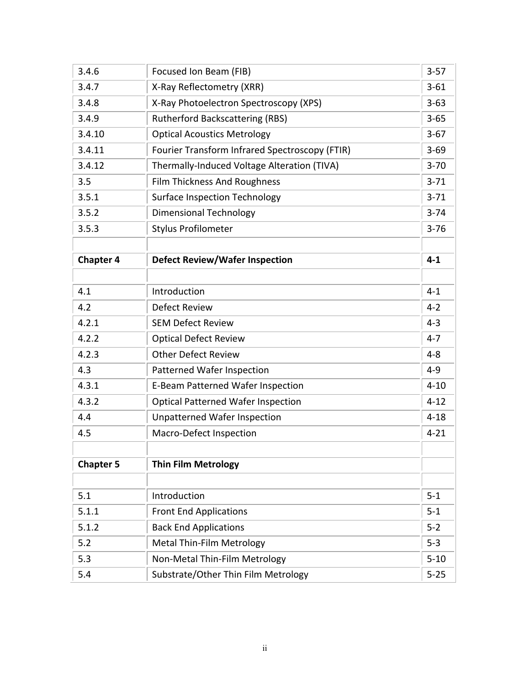| 3.4.6            | Focused Ion Beam (FIB)                         | $3 - 57$ |
|------------------|------------------------------------------------|----------|
| 3.4.7            | X-Ray Reflectometry (XRR)                      | $3 - 61$ |
| 3.4.8            | X-Ray Photoelectron Spectroscopy (XPS)         | $3 - 63$ |
| 3.4.9            | <b>Rutherford Backscattering (RBS)</b>         | $3 - 65$ |
| 3.4.10           | <b>Optical Acoustics Metrology</b>             | $3-67$   |
| 3.4.11           | Fourier Transform Infrared Spectroscopy (FTIR) | $3 - 69$ |
| 3.4.12           | Thermally-Induced Voltage Alteration (TIVA)    | $3 - 70$ |
| 3.5              | <b>Film Thickness And Roughness</b>            | $3 - 71$ |
| 3.5.1            | <b>Surface Inspection Technology</b>           | $3 - 71$ |
| 3.5.2            | <b>Dimensional Technology</b>                  | $3 - 74$ |
| 3.5.3            | <b>Stylus Profilometer</b>                     | $3 - 76$ |
|                  |                                                |          |
| <b>Chapter 4</b> | <b>Defect Review/Wafer Inspection</b>          | $4 - 1$  |
|                  |                                                |          |
| 4.1              | Introduction                                   | $4 - 1$  |
| 4.2              | <b>Defect Review</b>                           | $4 - 2$  |
| 4.2.1            | <b>SEM Defect Review</b>                       | $4 - 3$  |
| 4.2.2            | <b>Optical Defect Review</b>                   | $4 - 7$  |
| 4.2.3            | <b>Other Defect Review</b>                     | $4 - 8$  |
| 4.3              | <b>Patterned Wafer Inspection</b>              | $4 - 9$  |
| 4.3.1            | <b>E-Beam Patterned Wafer Inspection</b>       | $4 - 10$ |
| 4.3.2            | <b>Optical Patterned Wafer Inspection</b>      | $4 - 12$ |
| 4.4              | <b>Unpatterned Wafer Inspection</b>            | $4 - 18$ |
| 4.5              | <b>Macro-Defect Inspection</b>                 | $4 - 21$ |
|                  |                                                |          |
| <b>Chapter 5</b> | <b>Thin Film Metrology</b>                     |          |
|                  |                                                |          |
| 5.1              | Introduction                                   | $5 - 1$  |
| 5.1.1            | <b>Front End Applications</b>                  | $5 - 1$  |
| 5.1.2            | <b>Back End Applications</b>                   | $5 - 2$  |
| 5.2              | <b>Metal Thin-Film Metrology</b>               | $5 - 3$  |
| 5.3              | Non-Metal Thin-Film Metrology                  | $5 - 10$ |
| 5.4              | Substrate/Other Thin Film Metrology            | $5 - 25$ |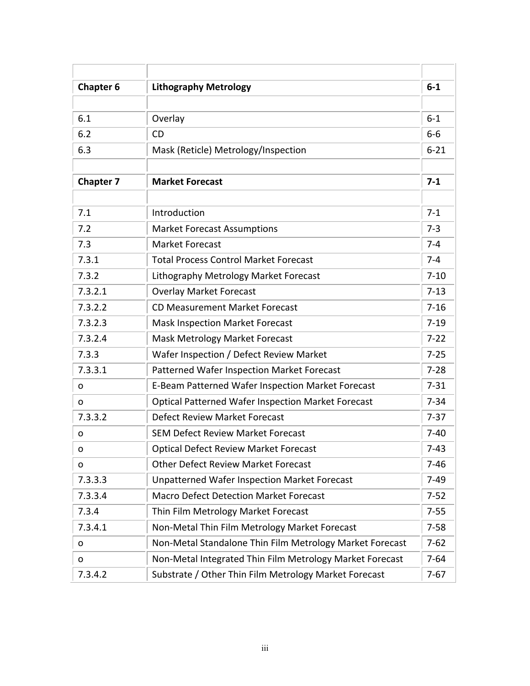| <b>Chapter 6</b> | <b>Lithography Metrology</b>                              | $6-1$    |
|------------------|-----------------------------------------------------------|----------|
|                  |                                                           |          |
| 6.1              | Overlay                                                   | $6-1$    |
| 6.2              | <b>CD</b>                                                 | $6-6$    |
| 6.3              | Mask (Reticle) Metrology/Inspection                       | $6 - 21$ |
|                  |                                                           |          |
| <b>Chapter 7</b> | <b>Market Forecast</b>                                    | $7 - 1$  |
| 7.1              | Introduction                                              | $7 - 1$  |
| 7.2              | <b>Market Forecast Assumptions</b>                        | $7 - 3$  |
| 7.3              | <b>Market Forecast</b>                                    | $7 - 4$  |
| 7.3.1            | <b>Total Process Control Market Forecast</b>              | $7 - 4$  |
| 7.3.2            | Lithography Metrology Market Forecast                     | $7 - 10$ |
| 7.3.2.1          | <b>Overlay Market Forecast</b>                            | $7 - 13$ |
| 7.3.2.2          | <b>CD Measurement Market Forecast</b>                     | $7 - 16$ |
| 7.3.2.3          | <b>Mask Inspection Market Forecast</b>                    | $7-19$   |
| 7.3.2.4          | <b>Mask Metrology Market Forecast</b>                     | $7 - 22$ |
| 7.3.3            | Wafer Inspection / Defect Review Market                   | $7 - 25$ |
| 7.3.3.1          | Patterned Wafer Inspection Market Forecast                | $7 - 28$ |
| o                | E-Beam Patterned Wafer Inspection Market Forecast         | $7 - 31$ |
| 0                | <b>Optical Patterned Wafer Inspection Market Forecast</b> | $7 - 34$ |
| 7.3.3.2          | <b>Defect Review Market Forecast</b>                      | $7-37$   |
| o                | <b>SEM Defect Review Market Forecast</b>                  | $7-40$   |
| o                | <b>Optical Defect Review Market Forecast</b>              | $7-43$   |
| 0                | <b>Other Defect Review Market Forecast</b>                | $7 - 46$ |
| 7.3.3.3          | <b>Unpatterned Wafer Inspection Market Forecast</b>       | $7-49$   |
| 7.3.3.4          | <b>Macro Defect Detection Market Forecast</b>             | $7 - 52$ |
| 7.3.4            | Thin Film Metrology Market Forecast                       | $7 - 55$ |
| 7.3.4.1          | Non-Metal Thin Film Metrology Market Forecast             | $7 - 58$ |
| o                | Non-Metal Standalone Thin Film Metrology Market Forecast  | $7 - 62$ |
| o                | Non-Metal Integrated Thin Film Metrology Market Forecast  | $7 - 64$ |
| 7.3.4.2          | Substrate / Other Thin Film Metrology Market Forecast     | $7 - 67$ |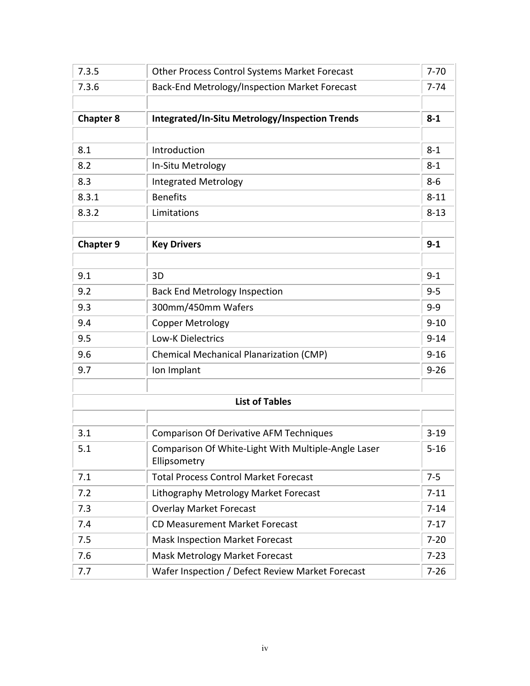| 7.3.5            | Other Process Control Systems Market Forecast                       | $7 - 70$ |
|------------------|---------------------------------------------------------------------|----------|
| 7.3.6            | Back-End Metrology/Inspection Market Forecast                       | $7 - 74$ |
|                  |                                                                     |          |
| <b>Chapter 8</b> | Integrated/In-Situ Metrology/Inspection Trends                      | $8 - 1$  |
|                  |                                                                     |          |
| 8.1              | Introduction                                                        | $8 - 1$  |
| 8.2              | In-Situ Metrology                                                   | $8 - 1$  |
| 8.3              | <b>Integrated Metrology</b>                                         | $8-6$    |
| 8.3.1            | <b>Benefits</b>                                                     | $8 - 11$ |
| 8.3.2            | Limitations                                                         | $8 - 13$ |
|                  |                                                                     |          |
| <b>Chapter 9</b> | <b>Key Drivers</b>                                                  | $9 - 1$  |
|                  |                                                                     |          |
| 9.1              | 3D                                                                  | $9 - 1$  |
| 9.2              | <b>Back End Metrology Inspection</b>                                | $9 - 5$  |
| 9.3              | 300mm/450mm Wafers                                                  | $9 - 9$  |
| 9.4              | <b>Copper Metrology</b>                                             | $9 - 10$ |
| 9.5              | <b>Low-K Dielectrics</b>                                            | $9 - 14$ |
| 9.6              | <b>Chemical Mechanical Planarization (CMP)</b>                      | $9 - 16$ |
| 9.7              | Ion Implant                                                         | $9 - 26$ |
|                  |                                                                     |          |
|                  | <b>List of Tables</b>                                               |          |
|                  |                                                                     |          |
| 3.1              | <b>Comparison Of Derivative AFM Techniques</b>                      | $3 - 19$ |
| 5.1              | Comparison Of White-Light With Multiple-Angle Laser<br>Ellipsometry | $5 - 16$ |
| 7.1              | <b>Total Process Control Market Forecast</b>                        | $7 - 5$  |
| 7.2              | Lithography Metrology Market Forecast                               | $7 - 11$ |
| 7.3              | <b>Overlay Market Forecast</b>                                      | $7 - 14$ |
| 7.4              | CD Measurement Market Forecast                                      | $7-17$   |
| 7.5              | <b>Mask Inspection Market Forecast</b>                              | $7 - 20$ |
| 7.6              | <b>Mask Metrology Market Forecast</b>                               | $7 - 23$ |
| 7.7              | Wafer Inspection / Defect Review Market Forecast                    | $7 - 26$ |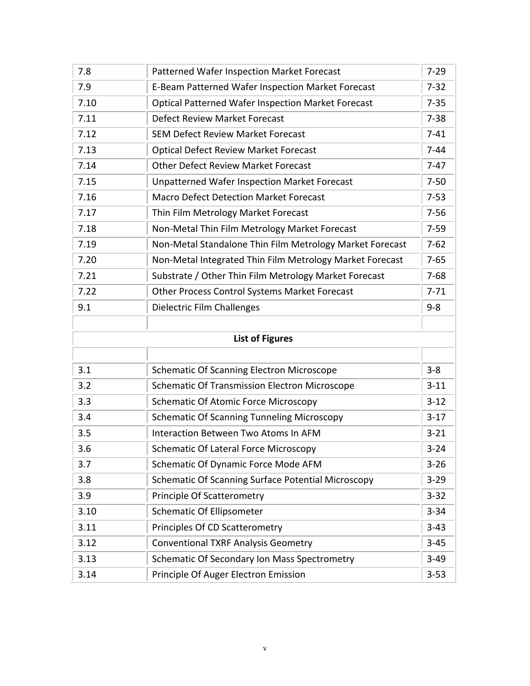| 7.8  | <b>Patterned Wafer Inspection Market Forecast</b>         | $7 - 29$ |
|------|-----------------------------------------------------------|----------|
| 7.9  | E-Beam Patterned Wafer Inspection Market Forecast         | $7 - 32$ |
| 7.10 | <b>Optical Patterned Wafer Inspection Market Forecast</b> | $7 - 35$ |
| 7.11 | <b>Defect Review Market Forecast</b>                      | $7 - 38$ |
| 7.12 | <b>SEM Defect Review Market Forecast</b>                  | $7 - 41$ |
| 7.13 | <b>Optical Defect Review Market Forecast</b>              | $7 - 44$ |
| 7.14 | <b>Other Defect Review Market Forecast</b>                | $7-47$   |
| 7.15 | <b>Unpatterned Wafer Inspection Market Forecast</b>       | $7 - 50$ |
| 7.16 | <b>Macro Defect Detection Market Forecast</b>             | $7 - 53$ |
| 7.17 | Thin Film Metrology Market Forecast                       | $7 - 56$ |
| 7.18 | Non-Metal Thin Film Metrology Market Forecast             | $7 - 59$ |
| 7.19 | Non-Metal Standalone Thin Film Metrology Market Forecast  | $7 - 62$ |
| 7.20 | Non-Metal Integrated Thin Film Metrology Market Forecast  | $7 - 65$ |
| 7.21 | Substrate / Other Thin Film Metrology Market Forecast     | $7 - 68$ |
| 7.22 | Other Process Control Systems Market Forecast             | $7 - 71$ |
| 9.1  | <b>Dielectric Film Challenges</b>                         | $9 - 8$  |
|      |                                                           |          |
|      | <b>List of Figures</b>                                    |          |
|      |                                                           |          |
| 3.1  | Schematic Of Scanning Electron Microscope                 | $3 - 8$  |
| 3.2  | <b>Schematic Of Transmission Electron Microscope</b>      | $3 - 11$ |
| 3.3  | <b>Schematic Of Atomic Force Microscopy</b>               | $3 - 12$ |
| 3.4  | <b>Schematic Of Scanning Tunneling Microscopy</b>         | $3-17$   |
| 3.5  | Interaction Between Two Atoms In AFM                      | $3 - 21$ |
| 3.6  | <b>Schematic Of Lateral Force Microscopy</b>              | $3 - 24$ |
| 3.7  | Schematic Of Dynamic Force Mode AFM                       | $3 - 26$ |
| 3.8  | Schematic Of Scanning Surface Potential Microscopy        | $3 - 29$ |
| 3.9  | <b>Principle Of Scatterometry</b>                         | $3 - 32$ |
| 3.10 | <b>Schematic Of Ellipsometer</b>                          | $3 - 34$ |
| 3.11 | Principles Of CD Scatterometry                            | $3 - 43$ |
| 3.12 | <b>Conventional TXRF Analysis Geometry</b>                | $3 - 45$ |
| 3.13 | Schematic Of Secondary Ion Mass Spectrometry              | $3 - 49$ |
| 3.14 | Principle Of Auger Electron Emission                      | $3 - 53$ |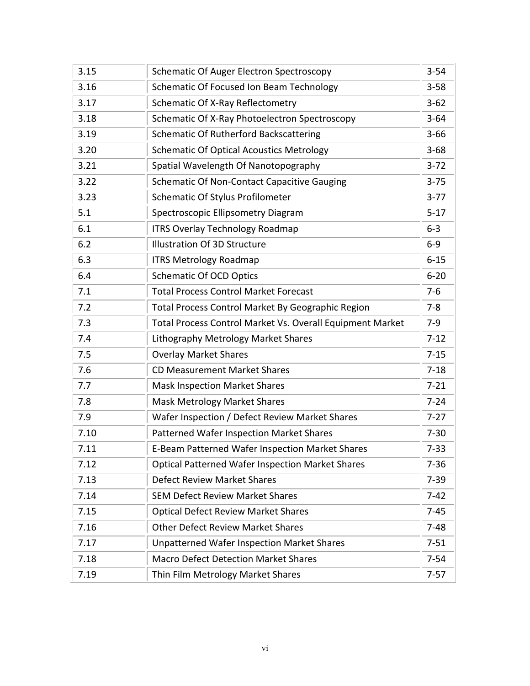| 3.15 | <b>Schematic Of Auger Electron Spectroscopy</b>           | $3 - 54$ |
|------|-----------------------------------------------------------|----------|
| 3.16 | Schematic Of Focused Ion Beam Technology                  | $3 - 58$ |
| 3.17 | Schematic Of X-Ray Reflectometry                          | $3 - 62$ |
| 3.18 | Schematic Of X-Ray Photoelectron Spectroscopy             | $3 - 64$ |
| 3.19 | <b>Schematic Of Rutherford Backscattering</b>             | $3 - 66$ |
| 3.20 | <b>Schematic Of Optical Acoustics Metrology</b>           | $3 - 68$ |
| 3.21 | Spatial Wavelength Of Nanotopography                      | $3 - 72$ |
| 3.22 | Schematic Of Non-Contact Capacitive Gauging               | $3 - 75$ |
| 3.23 | Schematic Of Stylus Profilometer                          | $3 - 77$ |
| 5.1  | Spectroscopic Ellipsometry Diagram                        | $5 - 17$ |
| 6.1  | <b>ITRS Overlay Technology Roadmap</b>                    | $6 - 3$  |
| 6.2  | <b>Illustration Of 3D Structure</b>                       | $6-9$    |
| 6.3  | <b>ITRS Metrology Roadmap</b>                             | $6 - 15$ |
| 6.4  | <b>Schematic Of OCD Optics</b>                            | $6 - 20$ |
| 7.1  | <b>Total Process Control Market Forecast</b>              | $7-6$    |
| 7.2  | Total Process Control Market By Geographic Region         | $7 - 8$  |
| 7.3  | Total Process Control Market Vs. Overall Equipment Market | $7-9$    |
| 7.4  | Lithography Metrology Market Shares                       | $7 - 12$ |
| 7.5  | <b>Overlay Market Shares</b>                              | $7 - 15$ |
| 7.6  | <b>CD Measurement Market Shares</b>                       | $7 - 18$ |
| 7.7  | <b>Mask Inspection Market Shares</b>                      | $7 - 21$ |
| 7.8  | <b>Mask Metrology Market Shares</b>                       | $7 - 24$ |
| 7.9  | Wafer Inspection / Defect Review Market Shares            | $7 - 27$ |
| 7.10 | <b>Patterned Wafer Inspection Market Shares</b>           | $7 - 30$ |
| 7.11 | E-Beam Patterned Wafer Inspection Market Shares           | $7 - 33$ |
| 7.12 | <b>Optical Patterned Wafer Inspection Market Shares</b>   | $7 - 36$ |
| 7.13 | <b>Defect Review Market Shares</b>                        | $7 - 39$ |
| 7.14 | <b>SEM Defect Review Market Shares</b>                    | $7-42$   |
| 7.15 | <b>Optical Defect Review Market Shares</b>                | $7 - 45$ |
| 7.16 | <b>Other Defect Review Market Shares</b>                  | $7 - 48$ |
| 7.17 | <b>Unpatterned Wafer Inspection Market Shares</b>         | $7 - 51$ |
| 7.18 | <b>Macro Defect Detection Market Shares</b>               | $7 - 54$ |
| 7.19 | Thin Film Metrology Market Shares                         | $7 - 57$ |